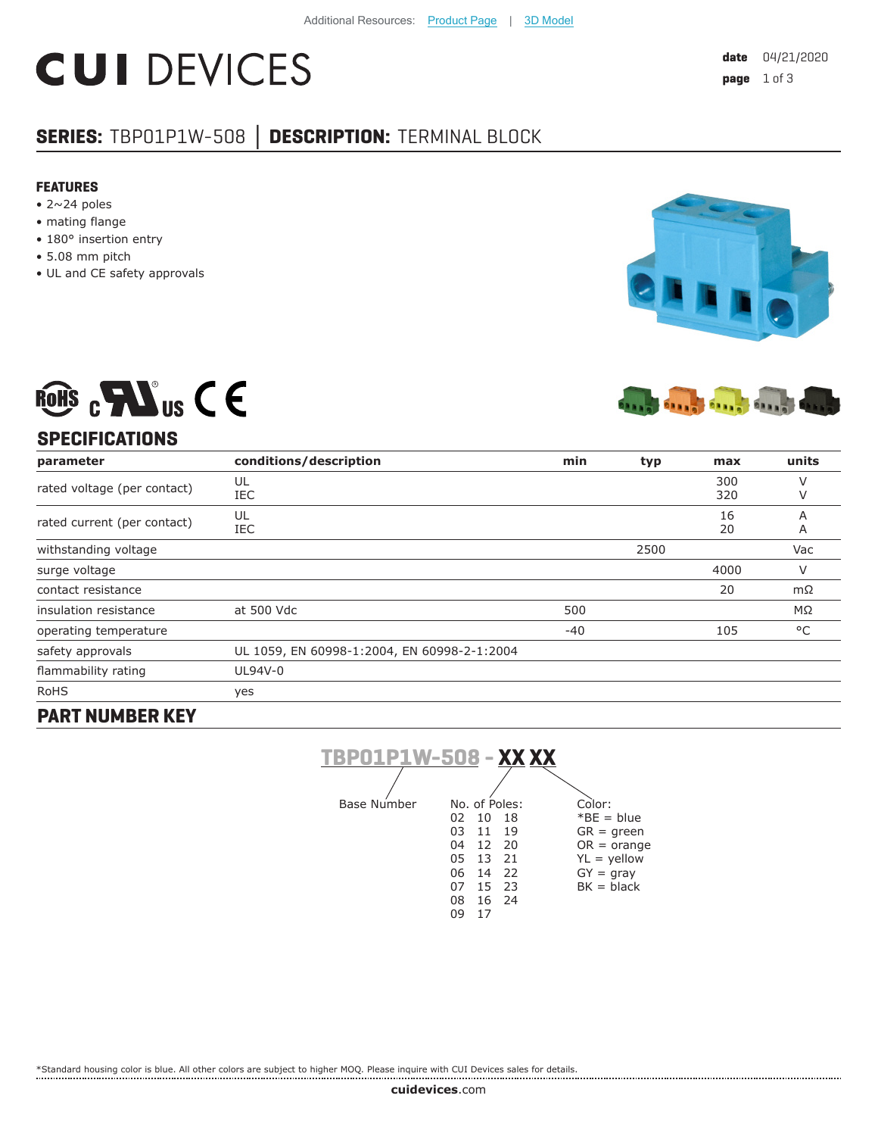# **CUI DEVICES**

# **SERIES:** TBP01P1W-508 **│ DESCRIPTION:** TERMINAL BLOCK

#### **FEATURES**

- $\bullet$  2~24 poles
- mating flange
- 180° insertion entry
- 5.08 mm pitch
- UL and CE safety approvals





## **SPECIFICATIONS**

ROHS CHAIS CE

| parameter                   | conditions/description                      | min   | typ  | max        | units        |
|-----------------------------|---------------------------------------------|-------|------|------------|--------------|
| rated voltage (per contact) | UL<br>IEC                                   |       |      | 300<br>320 | V            |
| rated current (per contact) | UL<br><b>IEC</b>                            |       |      | 16<br>20   | А<br>A       |
| withstanding voltage        |                                             |       | 2500 |            | Vac          |
| surge voltage               |                                             |       |      | 4000       | V            |
| contact resistance          |                                             |       |      | 20         | mΩ           |
| insulation resistance       | at 500 Vdc                                  | 500   |      |            | MΩ           |
| operating temperature       |                                             | $-40$ |      | 105        | $^{\circ}$ C |
| safety approvals            | UL 1059, EN 60998-1:2004, EN 60998-2-1:2004 |       |      |            |              |
| flammability rating         | UL94V-0                                     |       |      |            |              |
| <b>RoHS</b>                 | yes                                         |       |      |            |              |

### **PART NUMBER KEY**



\*Standard housing color is blue. All other colors are subject to higher MOQ. Please inquire with CUI Devices sales for details.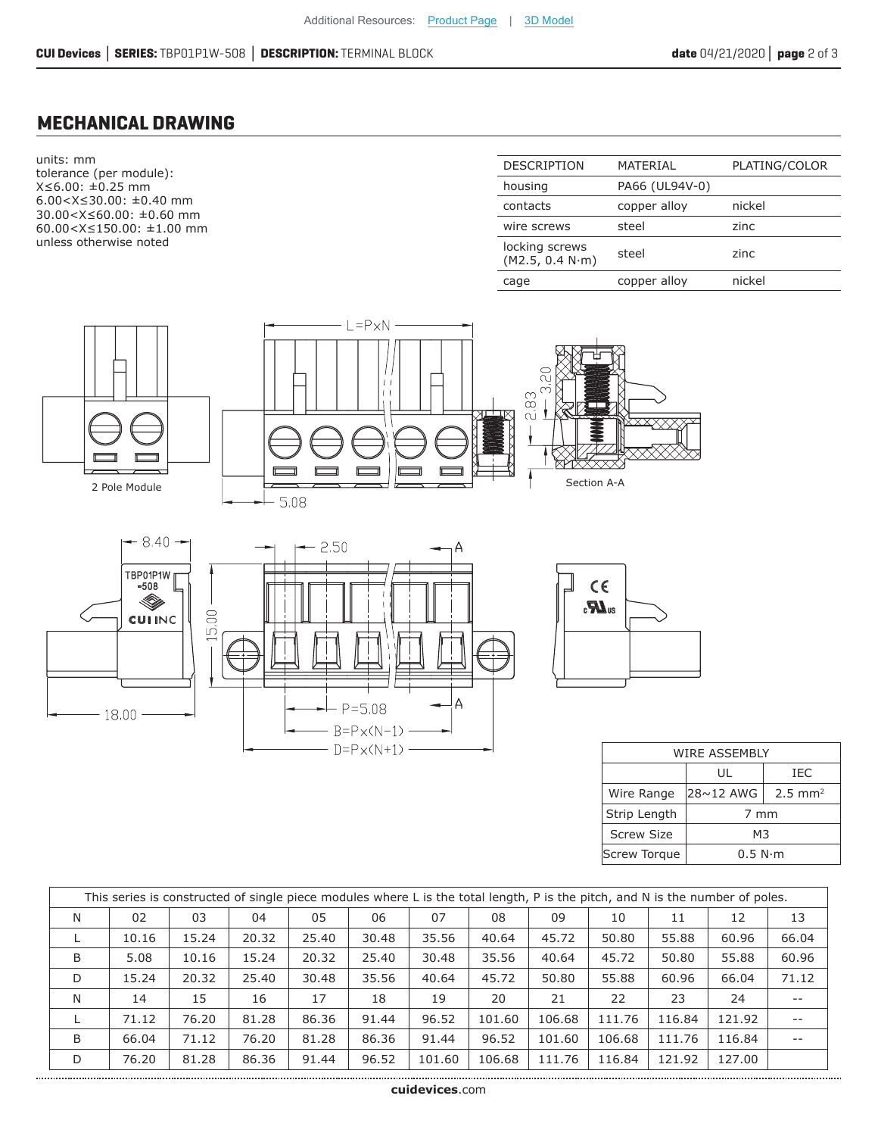#### **MECHANICAL DRAWING**



| WIRF ASSEMBLY     |           |                    |  |  |  |
|-------------------|-----------|--------------------|--|--|--|
|                   | UL        | IEC                |  |  |  |
| Wire Range        | 28∼12 AWG | $2.5 \text{ mm}^2$ |  |  |  |
| Strip Length      | 7 mm      |                    |  |  |  |
| <b>Screw Size</b> | M3        |                    |  |  |  |
| Screw Torque      | 0.5 N·m   |                    |  |  |  |

| This series is constructed of single piece modules where L is the total length, P is the pitch, and N is the number of poles. |       |       |       |       |       |        |        |        |        |        |        |       |
|-------------------------------------------------------------------------------------------------------------------------------|-------|-------|-------|-------|-------|--------|--------|--------|--------|--------|--------|-------|
| N                                                                                                                             | 02    | 03    | 04    | 05    | 06    | 07     | 08     | 09     | 10     | 11     | 12     | 13    |
|                                                                                                                               | 10.16 | 15.24 | 20.32 | 25.40 | 30.48 | 35.56  | 40.64  | 45.72  | 50.80  | 55.88  | 60.96  | 66.04 |
| B                                                                                                                             | 5.08  | 10.16 | 15.24 | 20.32 | 25.40 | 30.48  | 35.56  | 40.64  | 45.72  | 50.80  | 55.88  | 60.96 |
| D                                                                                                                             | 15.24 | 20.32 | 25.40 | 30.48 | 35.56 | 40.64  | 45.72  | 50.80  | 55.88  | 60.96  | 66.04  | 71.12 |
| N                                                                                                                             | 14    | 15    | 16    | 17    | 18    | 19     | 20     | 21     | 22     | 23     | 24     | $- -$ |
|                                                                                                                               | 71.12 | 76.20 | 81.28 | 86.36 | 91.44 | 96.52  | 101.60 | 106.68 | 111.76 | 116.84 | 121.92 | $- -$ |
| B                                                                                                                             | 66.04 | 71.12 | 76.20 | 81.28 | 86.36 | 91.44  | 96.52  | 101.60 | 106.68 | 111.76 | 116.84 |       |
| D                                                                                                                             | 76.20 | 81.28 | 86.36 | 91.44 | 96.52 | 101.60 | 106.68 | 111.76 | 116.84 | 121.92 | 127.00 |       |